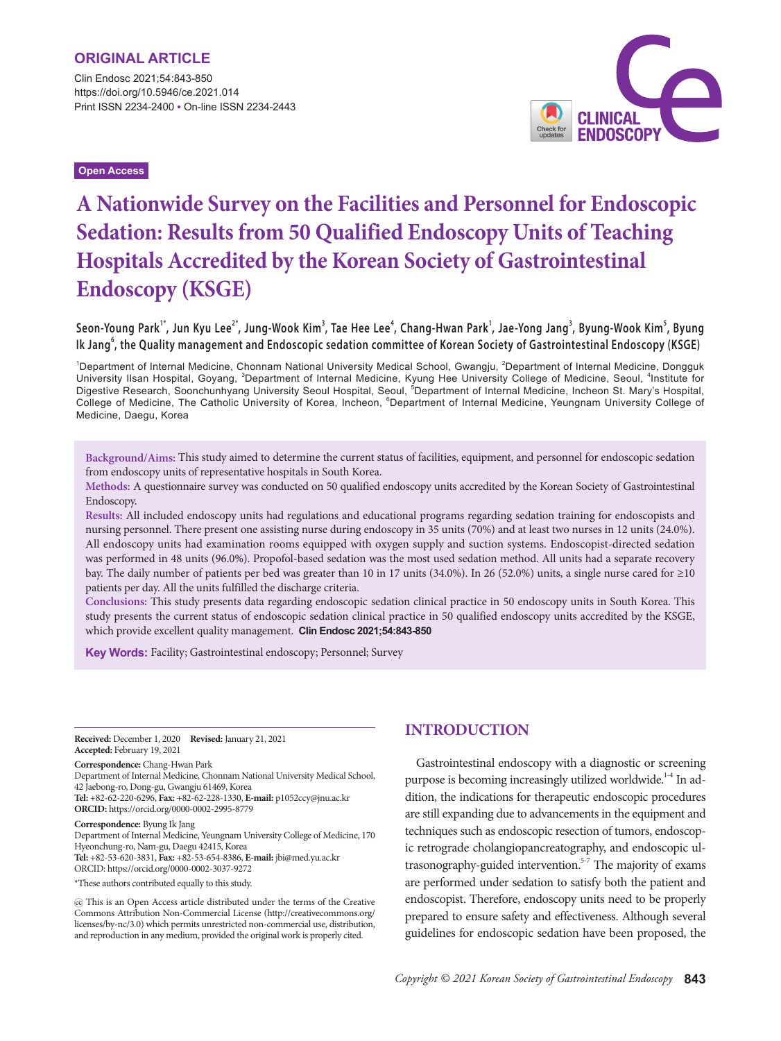Clin Endosc 2021;54:843-850 https://doi.org/10.5946/ce.2021.014 Print ISSN 2234-2400 • On-line ISSN 2234-2443

**Open Access**



# **A Nationwide Survey on the Facilities and Personnel for Endoscopic Sedation: Results from 50 Qualified Endoscopy Units of Teaching Hospitals Accredited by the Korean Society of Gastrointestinal Endoscopy (KSGE)**

## Seon-Young Park<sup>1\*</sup>, Jun Kyu Lee<sup>2\*</sup>, Jung-Wook Kim<sup>3</sup>, Tae Hee Lee<sup>4</sup>, Chang-Hwan Park<sup>1</sup>, Jae-Yong Jang<sup>3</sup>, Byung-Wook Kim<sup>3</sup>, Byung **Ik Jang<sup>6</sup> , the Quality management and Endoscopic sedation committee of Korean Society of Gastrointestinal Endoscopy (KSGE)**

<sup>1</sup>Department of Internal Medicine, Chonnam National University Medical School, Gwangju, <sup>2</sup>Department of Internal Medicine, Dongguk University Ilsan Hospital, Goyang, <sup>3</sup>Department of Internal Medicine, Kyung Hee University College of Medicine, Seoul, <sup>4</sup>Institute for Digestive Research, Soonchunhyang University Seoul Hospital, Seoul, <sup>5</sup>Department of Internal Medicine, Incheon St. Mary's Hospital, College of Medicine, The Catholic University of Korea, Incheon, <sup>6</sup>Department of Internal Medicine, Yeungnam University College of Medicine, Daegu, Korea

**Background/Aims:** This study aimed to determine the current status of facilities, equipment, and personnel for endoscopic sedation from endoscopy units of representative hospitals in South Korea.

**Methods:** A questionnaire survey was conducted on 50 qualified endoscopy units accredited by the Korean Society of Gastrointestinal Endoscopy.

**Results:** All included endoscopy units had regulations and educational programs regarding sedation training for endoscopists and nursing personnel. There present one assisting nurse during endoscopy in 35 units (70%) and at least two nurses in 12 units (24.0%). All endoscopy units had examination rooms equipped with oxygen supply and suction systems. Endoscopist-directed sedation was performed in 48 units (96.0%). Propofol-based sedation was the most used sedation method. All units had a separate recovery bay. The daily number of patients per bed was greater than 10 in 17 units (34.0%). In 26 (52.0%) units, a single nurse cared for ≥10 patients per day. All the units fulfilled the discharge criteria.

**Conclusions:** This study presents data regarding endoscopic sedation clinical practice in 50 endoscopy units in South Korea. This study presents the current status of endoscopic sedation clinical practice in 50 qualified endoscopy units accredited by the KSGE, which provide excellent quality management. **Clin Endosc 2021;54:843-850**

**Key Words:** Facility; Gastrointestinal endoscopy; Personnel; Survey

**Received:** December 1, 2020 **Revised:** January 21, 2021 **Accepted:** February 19, 2021

**Correspondence:** Chang-Hwan Park

Department of Internal Medicine, Chonnam National University Medical School, 42 Jaebong-ro, Dong-gu, Gwangju 61469, Korea **Tel:** +82-62-220-6296, **Fax:** +82-62-228-1330, **E-mail:** p1052ccy@jnu.ac.kr **ORCID:** https://orcid.org/0000-0002-2995-8779

**Correspondence:** Byung Ik Jang

Department of Internal Medicine, Yeungnam University College of Medicine, 170 Hyeonchung-ro, Nam-gu, Daegu 42415, Korea **Tel:** +82-53-620-3831, **Fax:** +82-53-654-8386, **E-mail:** jbi@med.yu.ac.kr ORCID: https://orcid.org/0000-0002-3037-9272

\*These authors contributed equally to this study.

 This is an Open Access article distributed under the terms of the Creative Commons Attribution Non-Commercial License (http://creativecommons.org/ licenses/by-nc/3.0) which permits unrestricted non-commercial use, distribution, and reproduction in any medium, provided the original work is properly cited.

# **INTRODUCTION**

Gastrointestinal endoscopy with a diagnostic or screening purpose is becoming increasingly utilized worldwide.<sup>1-4</sup> In addition, the indications for therapeutic endoscopic procedures are still expanding due to advancements in the equipment and techniques such as endoscopic resection of tumors, endoscopic retrograde cholangiopancreatography, and endoscopic ultrasonography-guided intervention.<sup>5-7</sup> The majority of exams are performed under sedation to satisfy both the patient and endoscopist. Therefore, endoscopy units need to be properly prepared to ensure safety and effectiveness. Although several guidelines for endoscopic sedation have been proposed, the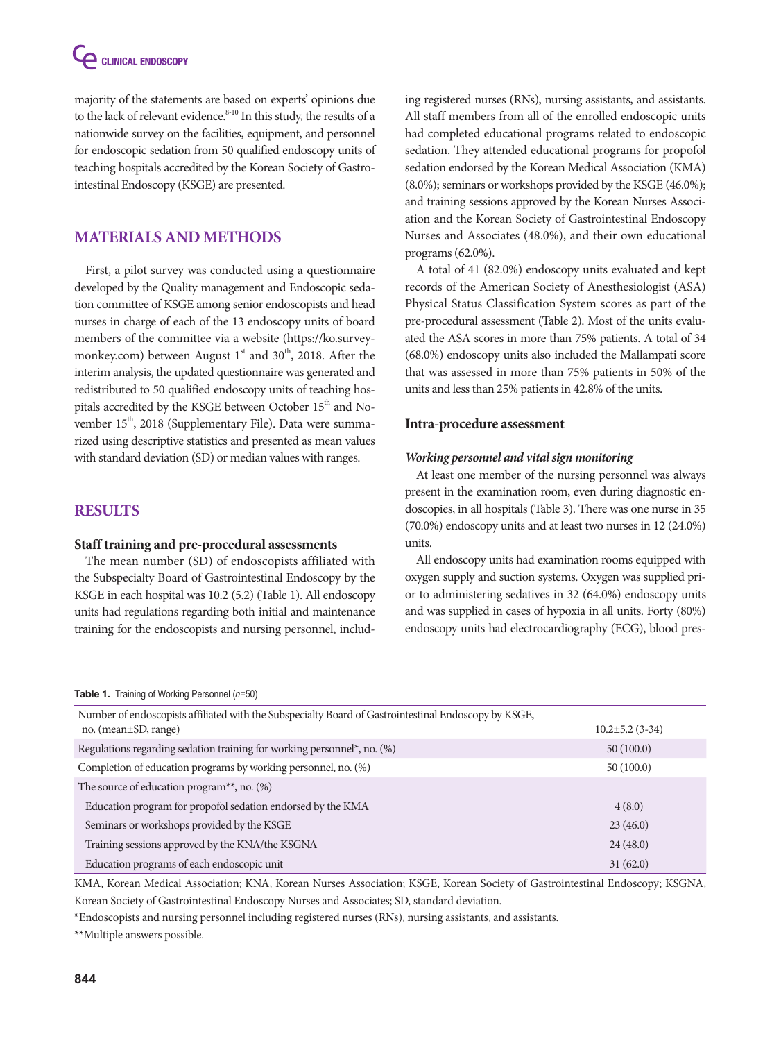**CELINICAL ENDOSCOPY** 

majority of the statements are based on experts' opinions due to the lack of relevant evidence.<sup>8-10</sup> In this study, the results of a nationwide survey on the facilities, equipment, and personnel for endoscopic sedation from 50 qualified endoscopy units of teaching hospitals accredited by the Korean Society of Gastrointestinal Endoscopy (KSGE) are presented.

# **MATERIALS AND METHODS**

First, a pilot survey was conducted using a questionnaire developed by the Quality management and Endoscopic sedation committee of KSGE among senior endoscopists and head nurses in charge of each of the 13 endoscopy units of board members of the committee via a website (https://ko.surveymonkey.com) between August  $1<sup>st</sup>$  and  $30<sup>th</sup>$ , 2018. After the interim analysis, the updated questionnaire was generated and redistributed to 50 qualified endoscopy units of teaching hospitals accredited by the KSGE between October 15<sup>th</sup> and November 15<sup>th</sup>, 2018 (Supplementary File). Data were summarized using descriptive statistics and presented as mean values with standard deviation (SD) or median values with ranges.

## **RESULTS**

### **Staff training and pre-procedural assessments**

The mean number (SD) of endoscopists affiliated with the Subspecialty Board of Gastrointestinal Endoscopy by the KSGE in each hospital was 10.2 (5.2) (Table 1). All endoscopy units had regulations regarding both initial and maintenance training for the endoscopists and nursing personnel, including registered nurses (RNs), nursing assistants, and assistants. All staff members from all of the enrolled endoscopic units had completed educational programs related to endoscopic sedation. They attended educational programs for propofol sedation endorsed by the Korean Medical Association (KMA) (8.0%); seminars or workshops provided by the KSGE (46.0%); and training sessions approved by the Korean Nurses Association and the Korean Society of Gastrointestinal Endoscopy Nurses and Associates (48.0%), and their own educational programs (62.0%).

A total of 41 (82.0%) endoscopy units evaluated and kept records of the American Society of Anesthesiologist (ASA) Physical Status Classification System scores as part of the pre-procedural assessment (Table 2). Most of the units evaluated the ASA scores in more than 75% patients. A total of 34 (68.0%) endoscopy units also included the Mallampati score that was assessed in more than 75% patients in 50% of the units and less than 25% patients in 42.8% of the units.

#### **Intra-procedure assessment**

#### *Working personnel and vital sign monitoring*

At least one member of the nursing personnel was always present in the examination room, even during diagnostic endoscopies, in all hospitals (Table 3). There was one nurse in 35 (70.0%) endoscopy units and at least two nurses in 12 (24.0%) units.

All endoscopy units had examination rooms equipped with oxygen supply and suction systems. Oxygen was supplied prior to administering sedatives in 32 (64.0%) endoscopy units and was supplied in cases of hypoxia in all units. Forty (80%) endoscopy units had electrocardiography (ECG), blood pres-

#### Table 1. Training of Working Personnel (n=50)

| Number of endoscopists affiliated with the Subspecialty Board of Gastrointestinal Endoscopy by KSGE, |                     |
|------------------------------------------------------------------------------------------------------|---------------------|
| no. (mean±SD, range)                                                                                 | $10.2\pm5.2$ (3-34) |
| Regulations regarding sedation training for working personnel*, no. (%)                              | 50(100.0)           |
| Completion of education programs by working personnel, no. (%)                                       | 50(100.0)           |
| The source of education program <sup>**</sup> , no. $(\%)$                                           |                     |
| Education program for propofol sedation endorsed by the KMA                                          | 4(8.0)              |
| Seminars or workshops provided by the KSGE                                                           | 23(46.0)            |
| Training sessions approved by the KNA/the KSGNA                                                      | 24(48.0)            |
| Education programs of each endoscopic unit                                                           | 31(62.0)            |

KMA, Korean Medical Association; KNA, Korean Nurses Association; KSGE, Korean Society of Gastrointestinal Endoscopy; KSGNA, Korean Society of Gastrointestinal Endoscopy Nurses and Associates; SD, standard deviation.

\*Endoscopists and nursing personnel including registered nurses (RNs), nursing assistants, and assistants.

\*\*Multiple answers possible.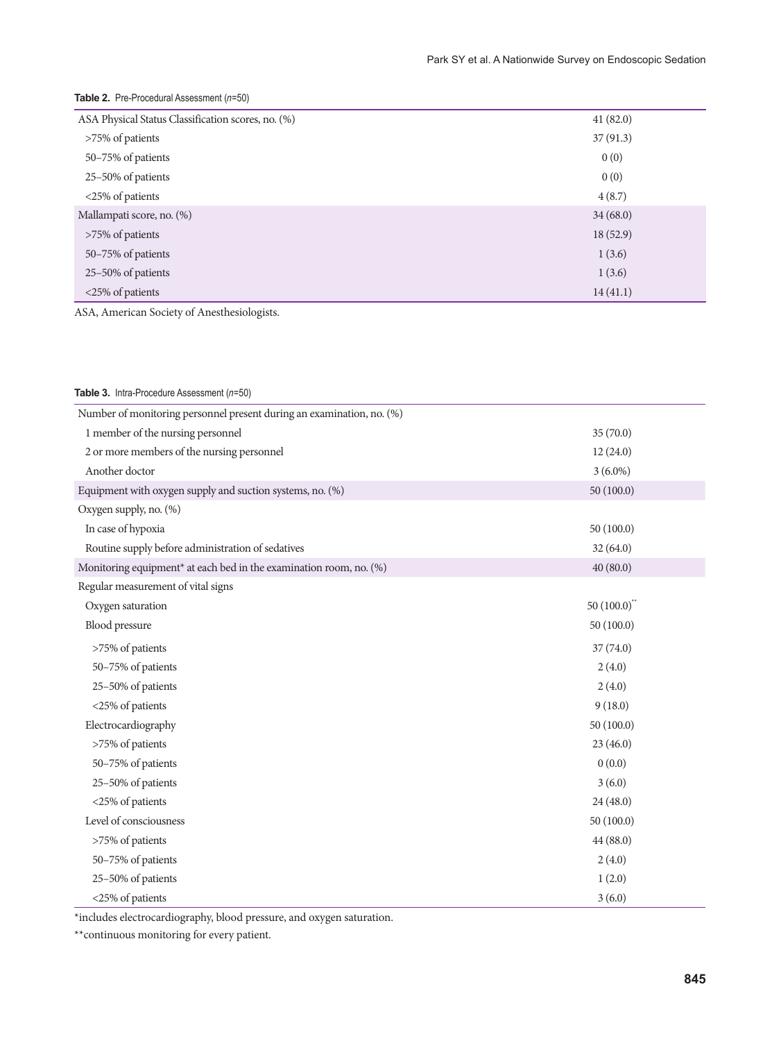| ASA Physical Status Classification scores, no. (%) | 41(82.0)  |
|----------------------------------------------------|-----------|
| >75% of patients                                   | 37(91.3)  |
| 50-75% of patients                                 | 0(0)      |
| 25-50% of patients                                 | 0(0)      |
| <25% of patients                                   | 4(8.7)    |
| Mallampati score, no. (%)                          | 34(68.0)  |
| >75% of patients                                   | 18 (52.9) |
| 50-75% of patients                                 | 1(3.6)    |
| 25-50% of patients                                 | 1(3.6)    |
| <25% of patients                                   | 14(41.1)  |

## Table 2. Pre-Procedural Assessment (n=50)

ASA, American Society of Anesthesiologists.

| Table 3. Intra-Procedure Assessment (n=50)                                     |                |
|--------------------------------------------------------------------------------|----------------|
| Number of monitoring personnel present during an examination, no. (%)          |                |
| 1 member of the nursing personnel                                              | 35(70.0)       |
| 2 or more members of the nursing personnel                                     | 12(24.0)       |
| Another doctor                                                                 | $3(6.0\%)$     |
| Equipment with oxygen supply and suction systems, no. (%)                      | 50(100.0)      |
| Oxygen supply, no. (%)                                                         |                |
| In case of hypoxia                                                             | 50(100.0)      |
| Routine supply before administration of sedatives                              | 32(64.0)       |
| Monitoring equipment <sup>*</sup> at each bed in the examination room, no. (%) | 40(80.0)       |
| Regular measurement of vital signs                                             |                |
| Oxygen saturation                                                              | $50(100.0)$ ** |
| Blood pressure                                                                 | 50(100.0)      |
| >75% of patients                                                               | 37(74.0)       |
| 50-75% of patients                                                             | 2(4.0)         |
| 25-50% of patients                                                             | 2(4.0)         |
| <25% of patients                                                               | 9(18.0)        |
| Electrocardiography                                                            | 50(100.0)      |
| >75% of patients                                                               | 23(46.0)       |
| 50-75% of patients                                                             | 0(0.0)         |
| 25-50% of patients                                                             | 3(6.0)         |
| <25% of patients                                                               | 24 (48.0)      |
| Level of consciousness                                                         | 50(100.0)      |
| >75% of patients                                                               | 44(88.0)       |
| 50-75% of patients                                                             | 2(4.0)         |
| 25-50% of patients                                                             | 1(2.0)         |
| <25% of patients                                                               | 3(6.0)         |

\*includes electrocardiography, blood pressure, and oxygen saturation.

\*\*continuous monitoring for every patient.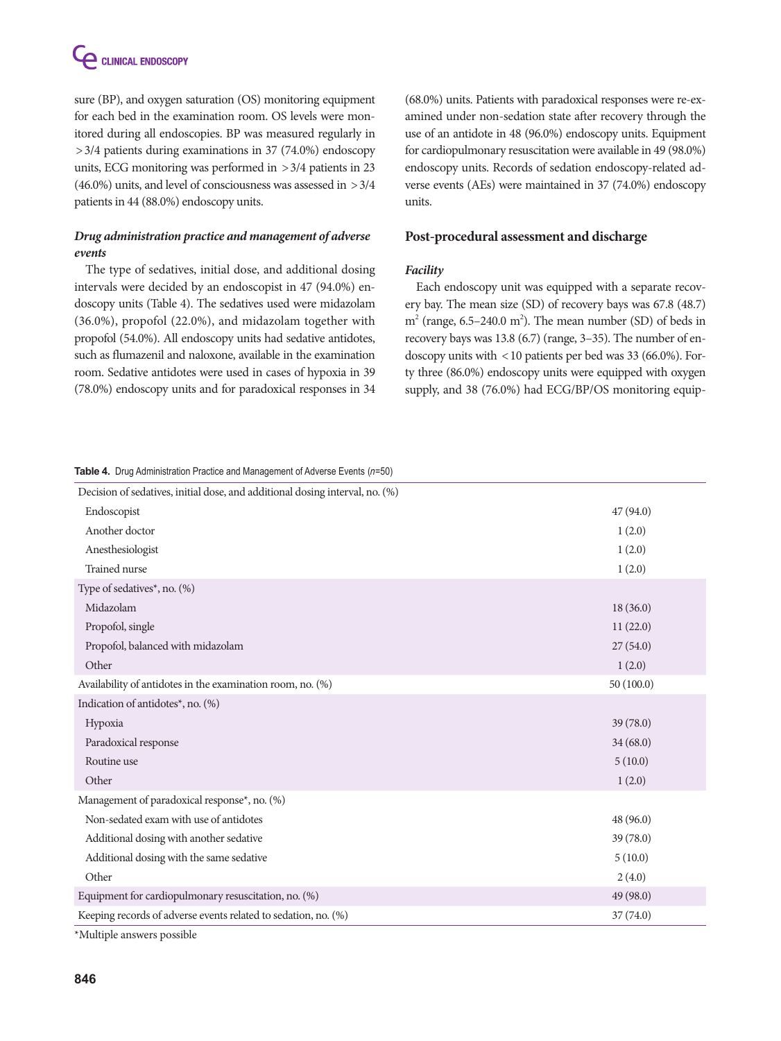

sure (BP), and oxygen saturation (OS) monitoring equipment for each bed in the examination room. OS levels were monitored during all endoscopies. BP was measured regularly in >3/4 patients during examinations in 37 (74.0%) endoscopy units, ECG monitoring was performed in  $>3/4$  patients in 23 (46.0%) units, and level of consciousness was assessed in >3/4 patients in 44 (88.0%) endoscopy units.

## *Drug administration practice and management of adverse events*

The type of sedatives, initial dose, and additional dosing intervals were decided by an endoscopist in 47 (94.0%) endoscopy units (Table 4). The sedatives used were midazolam (36.0%), propofol (22.0%), and midazolam together with propofol (54.0%). All endoscopy units had sedative antidotes, such as flumazenil and naloxone, available in the examination room. Sedative antidotes were used in cases of hypoxia in 39 (78.0%) endoscopy units and for paradoxical responses in 34

(68.0%) units. Patients with paradoxical responses were re-examined under non-sedation state after recovery through the use of an antidote in 48 (96.0%) endoscopy units. Equipment for cardiopulmonary resuscitation were available in 49 (98.0%) endoscopy units. Records of sedation endoscopy-related adverse events (AEs) were maintained in 37 (74.0%) endoscopy units.

#### **Post-procedural assessment and discharge**

## *Facility*

Each endoscopy unit was equipped with a separate recovery bay. The mean size (SD) of recovery bays was 67.8 (48.7)  $m<sup>2</sup>$  (range, 6.5–240.0 m<sup>2</sup>). The mean number (SD) of beds in recovery bays was 13.8 (6.7) (range, 3–35). The number of endoscopy units with <10 patients per bed was 33 (66.0%). Forty three (86.0%) endoscopy units were equipped with oxygen supply, and 38 (76.0%) had ECG/BP/OS monitoring equip-

**Table 4.** Drug Administration Practice and Management of Adverse Events (n=50)

| Decision of sedatives, initial dose, and additional dosing interval, no. (%) |           |
|------------------------------------------------------------------------------|-----------|
| Endoscopist                                                                  | 47(94.0)  |
| Another doctor                                                               | 1(2.0)    |
| Anesthesiologist                                                             | 1(2.0)    |
| <b>Trained</b> nurse                                                         | 1(2.0)    |
| Type of sedatives*, no. (%)                                                  |           |
| Midazolam                                                                    | 18(36.0)  |
| Propofol, single                                                             | 11(22.0)  |
| Propofol, balanced with midazolam                                            | 27(54.0)  |
| Other                                                                        | 1(2.0)    |
| Availability of antidotes in the examination room, no. (%)                   | 50(100.0) |
| Indication of antidotes*, no. (%)                                            |           |
| Hypoxia                                                                      | 39(78.0)  |
| Paradoxical response                                                         | 34(68.0)  |
| Routine use                                                                  | 5(10.0)   |
| Other                                                                        | 1(2.0)    |
| Management of paradoxical response*, no. (%)                                 |           |
| Non-sedated exam with use of antidotes                                       | 48 (96.0) |
| Additional dosing with another sedative                                      | 39 (78.0) |
| Additional dosing with the same sedative                                     | 5(10.0)   |
| Other                                                                        | 2(4.0)    |
| Equipment for cardiopulmonary resuscitation, no. (%)                         | 49 (98.0) |
| Keeping records of adverse events related to sedation, no. (%)               | 37(74.0)  |
|                                                                              |           |

\*Multiple answers possible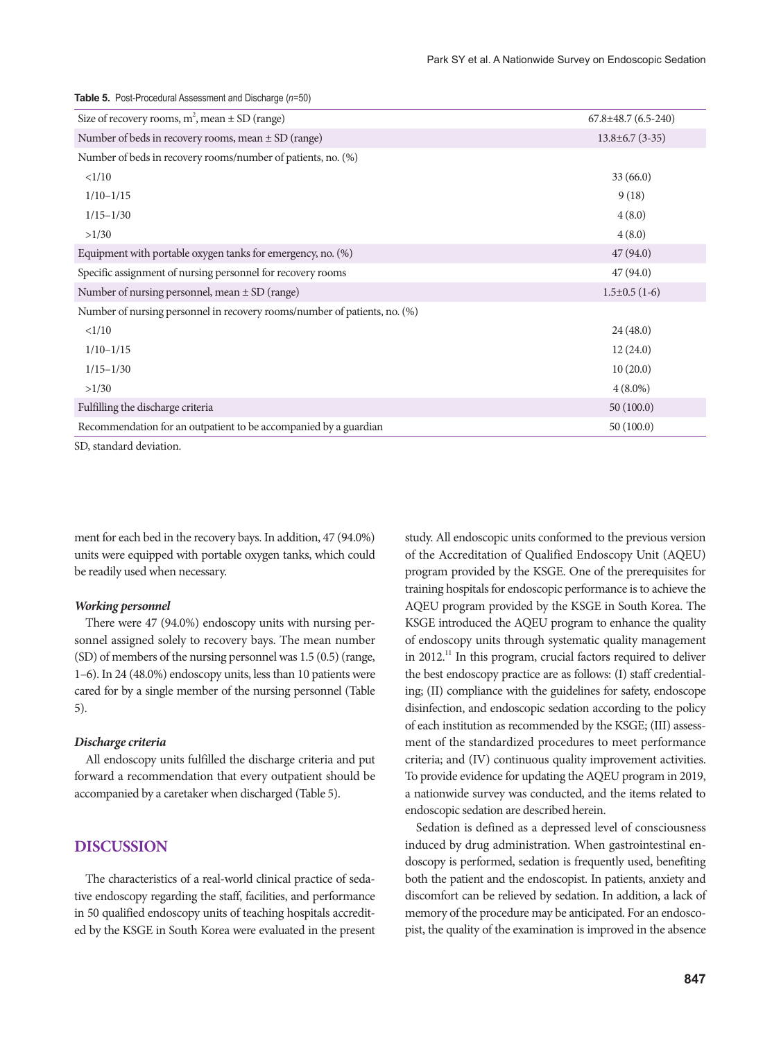| Size of recovery rooms, $m^2$ , mean $\pm$ SD (range)                              | $67.8 \pm 48.7$ $(6.5 - 240)$ |
|------------------------------------------------------------------------------------|-------------------------------|
| Number of beds in recovery rooms, mean $\pm$ SD (range)                            | $13.8 \pm 6.7$ (3-35)         |
| Number of beds in recovery rooms/number of patients, no. (%)                       |                               |
| <1/10                                                                              | 33(66.0)                      |
| $1/10-1/15$                                                                        | 9(18)                         |
| $1/15 - 1/30$                                                                      | 4(8.0)                        |
| >1/30                                                                              | 4(8.0)                        |
| Equipment with portable oxygen tanks for emergency, no. (%)                        | 47(94.0)                      |
| Specific assignment of nursing personnel for recovery rooms                        | 47(94.0)                      |
| Number of nursing personnel, mean $\pm$ SD (range)                                 | $1.5\pm0.5(1-6)$              |
| Number of nursing personnel in recovery rooms/number of patients, no. (%)          |                               |
| <1/10                                                                              | 24(48.0)                      |
| $1/10-1/15$                                                                        | 12(24.0)                      |
| $1/15 - 1/30$                                                                      | 10(20.0)                      |
| >1/30                                                                              | $4(8.0\%)$                    |
| Fulfilling the discharge criteria                                                  | 50(100.0)                     |
| Recommendation for an outpatient to be accompanied by a guardian<br>$\blacksquare$ | 50(100.0)                     |

SD, standard deviation.

ment for each bed in the recovery bays. In addition, 47 (94.0%) units were equipped with portable oxygen tanks, which could be readily used when necessary.

#### *Working personnel*

There were 47 (94.0%) endoscopy units with nursing personnel assigned solely to recovery bays. The mean number (SD) of members of the nursing personnel was 1.5 (0.5) (range, 1–6). In 24 (48.0%) endoscopy units, less than 10 patients were cared for by a single member of the nursing personnel (Table 5).

#### *Discharge criteria*

All endoscopy units fulfilled the discharge criteria and put forward a recommendation that every outpatient should be accompanied by a caretaker when discharged (Table 5).

## **DISCUSSION**

The characteristics of a real-world clinical practice of sedative endoscopy regarding the staff, facilities, and performance in 50 qualified endoscopy units of teaching hospitals accredited by the KSGE in South Korea were evaluated in the present study. All endoscopic units conformed to the previous version of the Accreditation of Qualified Endoscopy Unit (AQEU) program provided by the KSGE. One of the prerequisites for training hospitals for endoscopic performance is to achieve the AQEU program provided by the KSGE in South Korea. The KSGE introduced the AQEU program to enhance the quality of endoscopy units through systematic quality management in 2012.<sup>11</sup> In this program, crucial factors required to deliver the best endoscopy practice are as follows: (I) staff credentialing; (II) compliance with the guidelines for safety, endoscope disinfection, and endoscopic sedation according to the policy of each institution as recommended by the KSGE; (III) assessment of the standardized procedures to meet performance criteria; and (IV) continuous quality improvement activities. To provide evidence for updating the AQEU program in 2019, a nationwide survey was conducted, and the items related to endoscopic sedation are described herein.

Sedation is defined as a depressed level of consciousness induced by drug administration. When gastrointestinal endoscopy is performed, sedation is frequently used, benefiting both the patient and the endoscopist. In patients, anxiety and discomfort can be relieved by sedation. In addition, a lack of memory of the procedure may be anticipated. For an endoscopist, the quality of the examination is improved in the absence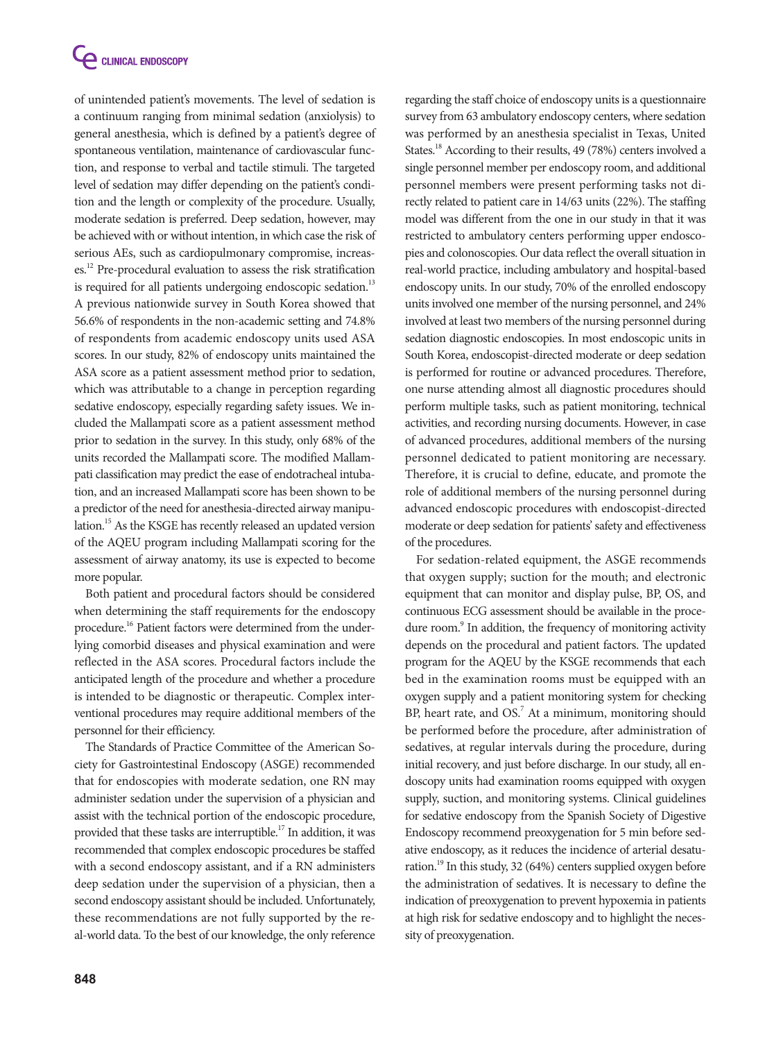of unintended patient's movements. The level of sedation is a continuum ranging from minimal sedation (anxiolysis) to general anesthesia, which is defined by a patient's degree of spontaneous ventilation, maintenance of cardiovascular function, and response to verbal and tactile stimuli. The targeted level of sedation may differ depending on the patient's condition and the length or complexity of the procedure. Usually, moderate sedation is preferred. Deep sedation, however, may be achieved with or without intention, in which case the risk of serious AEs, such as cardiopulmonary compromise, increases.12 Pre-procedural evaluation to assess the risk stratification is required for all patients undergoing endoscopic sedation.<sup>13</sup> A previous nationwide survey in South Korea showed that 56.6% of respondents in the non-academic setting and 74.8% of respondents from academic endoscopy units used ASA scores. In our study, 82% of endoscopy units maintained the ASA score as a patient assessment method prior to sedation, which was attributable to a change in perception regarding sedative endoscopy, especially regarding safety issues. We included the Mallampati score as a patient assessment method prior to sedation in the survey. In this study, only 68% of the units recorded the Mallampati score. The modified Mallampati classification may predict the ease of endotracheal intubation, and an increased Mallampati score has been shown to be a predictor of the need for anesthesia-directed airway manipulation.15 As the KSGE has recently released an updated version of the AQEU program including Mallampati scoring for the assessment of airway anatomy, its use is expected to become more popular.

Both patient and procedural factors should be considered when determining the staff requirements for the endoscopy procedure.<sup>16</sup> Patient factors were determined from the underlying comorbid diseases and physical examination and were reflected in the ASA scores. Procedural factors include the anticipated length of the procedure and whether a procedure is intended to be diagnostic or therapeutic. Complex interventional procedures may require additional members of the personnel for their efficiency.

The Standards of Practice Committee of the American Society for Gastrointestinal Endoscopy (ASGE) recommended that for endoscopies with moderate sedation, one RN may administer sedation under the supervision of a physician and assist with the technical portion of the endoscopic procedure, provided that these tasks are interruptible.<sup>17</sup> In addition, it was recommended that complex endoscopic procedures be staffed with a second endoscopy assistant, and if a RN administers deep sedation under the supervision of a physician, then a second endoscopy assistant should be included. Unfortunately, these recommendations are not fully supported by the real-world data. To the best of our knowledge, the only reference

regarding the staff choice of endoscopy units is a questionnaire survey from 63 ambulatory endoscopy centers, where sedation was performed by an anesthesia specialist in Texas, United States.<sup>18</sup> According to their results, 49 (78%) centers involved a single personnel member per endoscopy room, and additional personnel members were present performing tasks not directly related to patient care in 14/63 units (22%). The staffing model was different from the one in our study in that it was restricted to ambulatory centers performing upper endoscopies and colonoscopies. Our data reflect the overall situation in real-world practice, including ambulatory and hospital-based endoscopy units. In our study, 70% of the enrolled endoscopy units involved one member of the nursing personnel, and 24% involved at least two members of the nursing personnel during sedation diagnostic endoscopies. In most endoscopic units in South Korea, endoscopist-directed moderate or deep sedation is performed for routine or advanced procedures. Therefore, one nurse attending almost all diagnostic procedures should perform multiple tasks, such as patient monitoring, technical activities, and recording nursing documents. However, in case of advanced procedures, additional members of the nursing personnel dedicated to patient monitoring are necessary. Therefore, it is crucial to define, educate, and promote the role of additional members of the nursing personnel during advanced endoscopic procedures with endoscopist-directed moderate or deep sedation for patients' safety and effectiveness of the procedures.

For sedation-related equipment, the ASGE recommends that oxygen supply; suction for the mouth; and electronic equipment that can monitor and display pulse, BP, OS, and continuous ECG assessment should be available in the procedure room.<sup>9</sup> In addition, the frequency of monitoring activity depends on the procedural and patient factors. The updated program for the AQEU by the KSGE recommends that each bed in the examination rooms must be equipped with an oxygen supply and a patient monitoring system for checking BP, heart rate, and OS.<sup>7</sup> At a minimum, monitoring should be performed before the procedure, after administration of sedatives, at regular intervals during the procedure, during initial recovery, and just before discharge. In our study, all endoscopy units had examination rooms equipped with oxygen supply, suction, and monitoring systems. Clinical guidelines for sedative endoscopy from the Spanish Society of Digestive Endoscopy recommend preoxygenation for 5 min before sedative endoscopy, as it reduces the incidence of arterial desaturation.<sup>19</sup> In this study, 32 (64%) centers supplied oxygen before the administration of sedatives. It is necessary to define the indication of preoxygenation to prevent hypoxemia in patients at high risk for sedative endoscopy and to highlight the necessity of preoxygenation.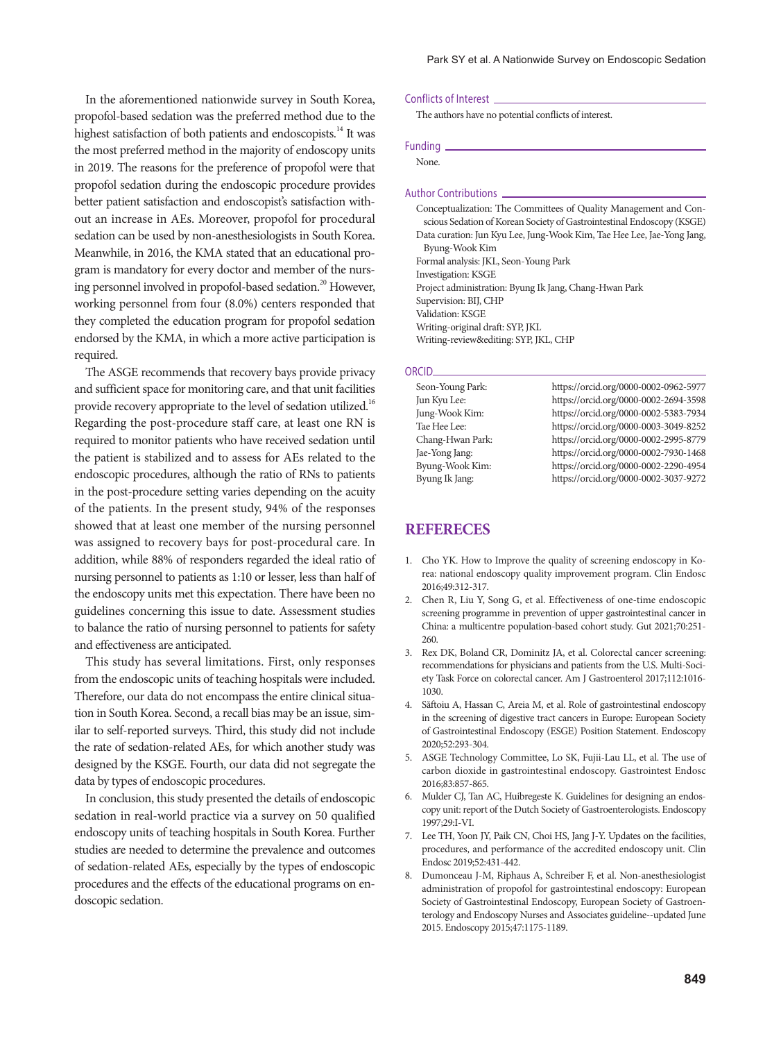In the aforementioned nationwide survey in South Korea, propofol-based sedation was the preferred method due to the highest satisfaction of both patients and endoscopists.<sup>14</sup> It was the most preferred method in the majority of endoscopy units in 2019. The reasons for the preference of propofol were that propofol sedation during the endoscopic procedure provides better patient satisfaction and endoscopist's satisfaction without an increase in AEs. Moreover, propofol for procedural sedation can be used by non-anesthesiologists in South Korea. Meanwhile, in 2016, the KMA stated that an educational program is mandatory for every doctor and member of the nursing personnel involved in propofol-based sedation.<sup>20</sup> However, working personnel from four (8.0%) centers responded that they completed the education program for propofol sedation endorsed by the KMA, in which a more active participation is required.

The ASGE recommends that recovery bays provide privacy and sufficient space for monitoring care, and that unit facilities provide recovery appropriate to the level of sedation utilized.<sup>16</sup> Regarding the post-procedure staff care, at least one RN is required to monitor patients who have received sedation until the patient is stabilized and to assess for AEs related to the endoscopic procedures, although the ratio of RNs to patients in the post-procedure setting varies depending on the acuity of the patients. In the present study, 94% of the responses showed that at least one member of the nursing personnel was assigned to recovery bays for post-procedural care. In addition, while 88% of responders regarded the ideal ratio of nursing personnel to patients as 1:10 or lesser, less than half of the endoscopy units met this expectation. There have been no guidelines concerning this issue to date. Assessment studies to balance the ratio of nursing personnel to patients for safety and effectiveness are anticipated.

This study has several limitations. First, only responses from the endoscopic units of teaching hospitals were included. Therefore, our data do not encompass the entire clinical situation in South Korea. Second, a recall bias may be an issue, similar to self-reported surveys. Third, this study did not include the rate of sedation-related AEs, for which another study was designed by the KSGE. Fourth, our data did not segregate the data by types of endoscopic procedures.

In conclusion, this study presented the details of endoscopic sedation in real-world practice via a survey on 50 qualified endoscopy units of teaching hospitals in South Korea. Further studies are needed to determine the prevalence and outcomes of sedation-related AEs, especially by the types of endoscopic procedures and the effects of the educational programs on endoscopic sedation.

#### Conflicts of Interest

The authors have no potential conflicts of interest.

#### Funding

None.

#### Author Contributions

Conceptualization: The Committees of Quality Management and Conscious Sedation of Korean Society of Gastrointestinal Endoscopy (KSGE) Data curation: Jun Kyu Lee, Jung-Wook Kim, Tae Hee Lee, Jae-Yong Jang, Byung-Wook Kim Formal analysis: JKL, Seon-Young Park Investigation: KSGE Project administration: Byung Ik Jang, Chang-Hwan Park Supervision: BIJ, CHP Validation: KSGE Writing-original draft: SYP, JKL Writing-review&editing: SYP, JKL, CHP

#### ORCID

Seon-Young Park: https://orcid.org/0000-0002-0962-5977 Jun Kyu Lee: https://orcid.org/0000-0002-2694-3598 Jung-Wook Kim: https://orcid.org/0000-0002-5383-7934 https://orcid.org/0000-0003-3049-8252 Chang-Hwan Park: https://orcid.org/0000-0002-2995-8779 Jae-Yong Jang: https://orcid.org/0000-0002-7930-1468 Byung-Wook Kim: https://orcid.org/0000-0002-2290-4954<br>Byung Ik Jang: https://orcid.org/0000-0002-3037-9272 https://orcid.org/0000-0002-3037-9272

## **REFERECES**

- 1. Cho YK. How to Improve the quality of screening endoscopy in Korea: national endoscopy quality improvement program. Clin Endosc 2016;49:312-317.
- 2. Chen R, Liu Y, Song G, et al. Effectiveness of one-time endoscopic screening programme in prevention of upper gastrointestinal cancer in China: a multicentre population-based cohort study. Gut 2021;70:251- 260.
- 3. Rex DK, Boland CR, Dominitz JA, et al. Colorectal cancer screening: recommendations for physicians and patients from the U.S. Multi-Society Task Force on colorectal cancer. Am J Gastroenterol 2017;112:1016- 1030.
- 4. Săftoiu A, Hassan C, Areia M, et al. Role of gastrointestinal endoscopy in the screening of digestive tract cancers in Europe: European Society of Gastrointestinal Endoscopy (ESGE) Position Statement. Endoscopy 2020;52:293-304.
- 5. ASGE Technology Committee, Lo SK, Fujii-Lau LL, et al. The use of carbon dioxide in gastrointestinal endoscopy. Gastrointest Endosc 2016;83:857-865.
- 6. Mulder CJ, Tan AC, Huibregeste K. Guidelines for designing an endoscopy unit: report of the Dutch Society of Gastroenterologists. Endoscopy 1997;29:I-VI.
- 7. Lee TH, Yoon JY, Paik CN, Choi HS, Jang J-Y. Updates on the facilities, procedures, and performance of the accredited endoscopy unit. Clin Endosc 2019;52:431-442.
- 8. Dumonceau J-M, Riphaus A, Schreiber F, et al. Non-anesthesiologist administration of propofol for gastrointestinal endoscopy: European Society of Gastrointestinal Endoscopy, European Society of Gastroenterology and Endoscopy Nurses and Associates guideline--updated June 2015. Endoscopy 2015;47:1175-1189.